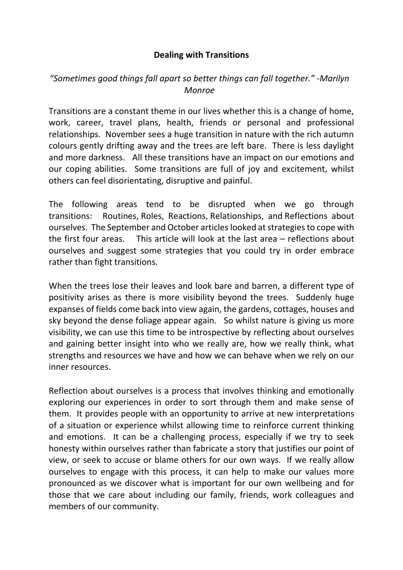## **Dealing with Transitions**

## *"Sometimes good things fall apart so better things can fall together." -Marilyn Monroe*

Transitions are a constant theme in our lives whether this is a change of home, work, career, travel plans, health, friends or personal and professional relationships. November sees a huge transition in nature with the rich autumn colours gently drifting away and the trees are left bare. There is less daylight and more darkness. All these transitions have an impact on our emotions and our coping abilities. Some transitions are full of joy and excitement, whilst others can feel disorientating, disruptive and painful.

The following areas tend to be disrupted when we go through transitions: Routines, Roles, Reactions, Relationships, and Reflections about ourselves. The September and October articleslooked at strategies to cope with the first four areas. This article will look at the last area – reflections about ourselves and suggest some strategies that you could try in order embrace rather than fight transitions.

When the trees lose their leaves and look bare and barren, a different type of positivity arises as there is more visibility beyond the trees. Suddenly huge expanses of fields come back into view again, the gardens, cottages, houses and sky beyond the dense foliage appear again. So whilst nature is giving us more visibility, we can use this time to be introspective by reflecting about ourselves and gaining better insight into who we really are, how we really think, what strengths and resources we have and how we can behave when we rely on our inner resources.

Reflection about ourselves is a process that involves thinking and emotionally exploring our experiences in order to sort through them and make sense of them. It provides people with an opportunity to arrive at new interpretations of a situation or experience whilst allowing time to reinforce current thinking and emotions. It can be a challenging process, especially if we try to seek honesty within ourselves rather than fabricate a story that justifies our point of view, or seek to accuse or blame others for our own ways. If we really allow ourselves to engage with this process, it can help to make our values more pronounced as we discover what is important for our own wellbeing and for those that we care about including our family, friends, work colleagues and members of our community.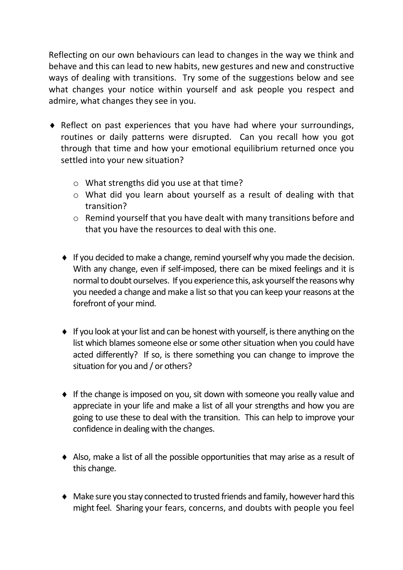Reflecting on our own behaviours can lead to changes in the way we think and behave and this can lead to new habits, new gestures and new and constructive ways of dealing with transitions. Try some of the suggestions below and see what changes your notice within yourself and ask people you respect and admire, what changes they see in you.

- Reflect on past experiences that you have had where your surroundings, routines or daily patterns were disrupted. Can you recall how you got through that time and how your emotional equilibrium returned once you settled into your new situation?
	- o What strengths did you use at that time?
	- o What did you learn about yourself as a result of dealing with that transition?
	- o Remind yourself that you have dealt with many transitions before and that you have the resources to deal with this one.
	- If you decided to make a change, remind yourself why you made the decision. With any change, even if self-imposed, there can be mixed feelings and it is normal to doubt ourselves. If you experience this, ask yourself the reasons why you needed a change and make a list so that you can keep your reasons at the forefront of your mind.
	- $\bullet$  If you look at your list and can be honest with yourself, is there anything on the list which blames someone else or some other situation when you could have acted differently? If so, is there something you can change to improve the situation for you and / or others?
	- If the change is imposed on you, sit down with someone you really value and appreciate in your life and make a list of all your strengths and how you are going to use these to deal with the transition. This can help to improve your confidence in dealing with the changes.
	- Also, make a list of all the possible opportunities that may arise as a result of this change.
	- Make sure you stay connected to trusted friends and family, however hard this might feel. Sharing your fears, concerns, and doubts with people you feel